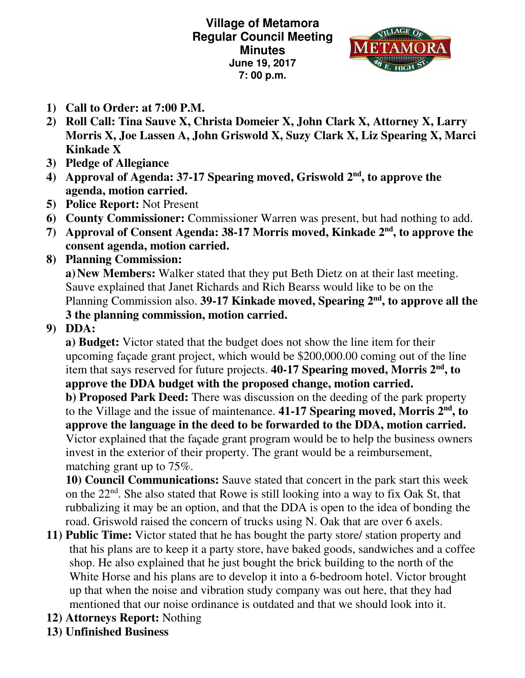**Village of Metamora Regular Council Meeting Minutes June 19, 2017 7: 00 p.m.** 



- **1) Call to Order: at 7:00 P.M.**
- **2) Roll Call: Tina Sauve X, Christa Domeier X, John Clark X, Attorney X, Larry Morris X, Joe Lassen A, John Griswold X, Suzy Clark X, Liz Spearing X, Marci Kinkade X**
- **3) Pledge of Allegiance**
- 4) Approval of Agenda: 37-17 Spearing moved, Griswold 2<sup>nd</sup>, to approve the **agenda, motion carried.**
- **5) Police Report:** Not Present
- **6) County Commissioner:** Commissioner Warren was present, but had nothing to add.
- **7) Approval of Consent Agenda: 38-17 Morris moved, Kinkade 2nd, to approve the consent agenda, motion carried.**
- **8) Planning Commission:**

 **a) New Members:** Walker stated that they put Beth Dietz on at their last meeting. Sauve explained that Janet Richards and Rich Bearss would like to be on the Planning Commission also. **39-17 Kinkade moved, Spearing 2nd, to approve all the 3 the planning commission, motion carried.** 

## **9) DDA:**

**a) Budget:** Victor stated that the budget does not show the line item for their upcoming façade grant project, which would be \$200,000.00 coming out of the line item that says reserved for future projects. **40-17 Spearing moved, Morris 2nd, to approve the DDA budget with the proposed change, motion carried. b) Proposed Park Deed:** There was discussion on the deeding of the park property to the Village and the issue of maintenance. **41-17 Spearing moved, Morris 2nd, to approve the language in the deed to be forwarded to the DDA, motion carried.**  Victor explained that the façade grant program would be to help the business owners invest in the exterior of their property. The grant would be a reimbursement, matching grant up to 75%.

**10) Council Communications:** Sauve stated that concert in the park start this week on the  $22<sup>nd</sup>$ . She also stated that Rowe is still looking into a way to fix Oak St, that rubbalizing it may be an option, and that the DDA is open to the idea of bonding the road. Griswold raised the concern of trucks using N. Oak that are over 6 axels.

- **11) Public Time:** Victor stated that he has bought the party store/ station property and that his plans are to keep it a party store, have baked goods, sandwiches and a coffee shop. He also explained that he just bought the brick building to the north of the White Horse and his plans are to develop it into a 6-bedroom hotel. Victor brought up that when the noise and vibration study company was out here, that they had mentioned that our noise ordinance is outdated and that we should look into it.
- **12) Attorneys Report:** Nothing
- **13) Unfinished Business**